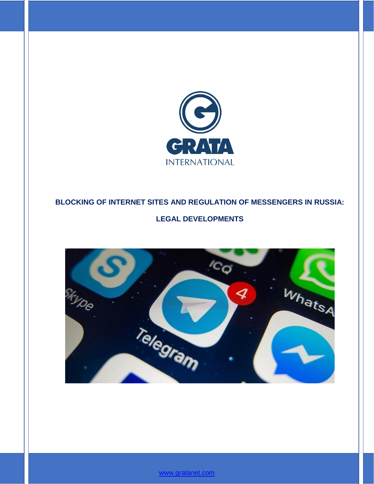

# **BLOCKING OF INTERNET SITES AND REGULATION OF MESSENGERS IN RUSSIA:**

# **LEGAL DEVELOPMENTS**



[www.gratanet.com](file:///C:/Users/ADukenbayeva/Desktop/Aliya/Yana%20Dianova/Massmedia%20regulation%2009.2017/www.gratanet.com)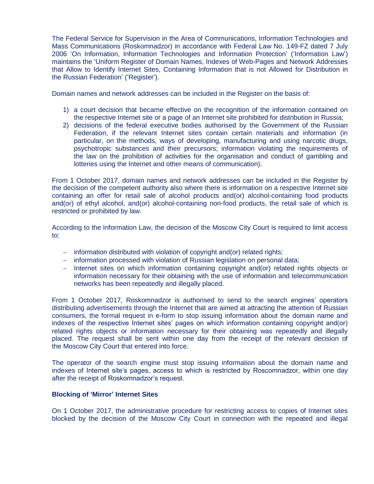The Federal Service for Supervision in the Area of Communications, Information Technologies and Mass Communications (Roskomnadzor) in accordance with Federal Law No. 149-FZ dated 7 July 2006 'On Information, Information Technologies and Information Protection' ('Information Law') maintains the 'Uniform Register of Domain Names, Indexes of Web-Pages and Network Addresses that Allow to Identify Internet Sites, Containing Information that is not Allowed for Distribution in the Russian Federation' ('Register').

Domain names and network addresses can be included in the Register on the basis of:

- 1) a court decision that became effective on the recognition of the information contained on the respective Internet site or a page of an Internet site prohibited for distribution in Russia;
- 2) decisions of the federal executive bodies authorised by the Government of the Russian Federation, if the relevant Internet sites contain certain materials and information (in particular, on the methods, ways of developing, manufacturing and using narcotic drugs, psychotropic substances and their precursors; information violating the requirements of the law on the prohibition of activities for the organisation and conduct of gambling and lotteries using the Internet and other means of communication).

From 1 October 2017, domain names and network addresses can be included in the Register by the decision of the competent authority also where there is information on a respective Internet site containing an offer for retail sale of alcohol products and(or) alcohol-containing food products and(or) of ethyl alcohol, and(or) alcohol-containing non-food products, the retail sale of which is restricted or prohibited by law.

According to the Information Law, the decision of the Moscow City Court is required to limit access to:

- information distributed with violation of copyright and(or) related rights;
- information processed with violation of Russian legislation on personal data;
- Internet sites on which information containing copyright and(or) related rights objects or information necessary for their obtaining with the use of information and telecommunication networks has been repeatedly and illegally placed.

From 1 October 2017, Roskomnadzor is authorised to send to the search engines' operators distributing advertisements through the Internet that are aimed at attracting the attention of Russian consumers, the formal request in e-form to stop issuing information about the domain name and indexes of the respective Internet sites' pages on which information containing copyright and(or) related rights objects or information necessary for their obtaining was repeatedly and illegally placed. The request shall be sent within one day from the receipt of the relevant decision of the Moscow City Court that entered into force.

The operator of the search engine must stop issuing information about the domain name and indexes of Internet site's pages, access to which is restricted by Roscomnadzor, within one day after the receipt of Roskomnadzor's request.

#### **Blocking of 'Mirror' Internet Sites**

On 1 October 2017, the administrative procedure for restricting access to copies of Internet sites blocked by the decision of the Moscow City Court in connection with the repeated and illegal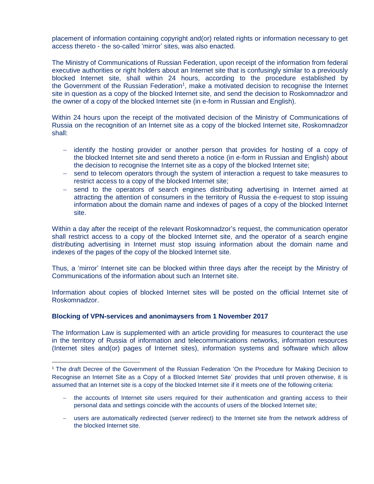placement of information containing copyright and(or) related rights or information necessary to get access thereto - the so-called 'mirror' sites, was also enacted.

The Ministry of Communications of Russian Federation, upon receipt of the information from federal executive authorities or right holders about an Internet site that is confusingly similar to a previously blocked Internet site, shall within 24 hours, according to the procedure established by the Government of the Russian Federation<sup>1</sup>, make a motivated decision to recognise the Internet site in question as a copy of the blocked Internet site, and send the decision to Roskomnadzor and the owner of a copy of the blocked Internet site (in e-form in Russian and English).

Within 24 hours upon the receipt of the motivated decision of the Ministry of Communications of Russia on the recognition of an Internet site as a copy of the blocked Internet site, Roskomnadzor shall:

- $-$  identify the hosting provider or another person that provides for hosting of a copy of the blocked Internet site and send thereto a notice (in e-form in Russian and English) about the decision to recognise the Internet site as a copy of the blocked Internet site;
- send to telecom operators through the system of interaction a request to take measures to restrict access to a copy of the blocked Internet site;
- send to the operators of search engines distributing advertising in Internet aimed at attracting the attention of consumers in the territory of Russia the e-request to stop issuing information about the domain name and indexes of pages of a copy of the blocked Internet site.

Within a day after the receipt of the relevant Roskomnadzor's request, the communication operator shall restrict access to a copy of the blocked Internet site, and the operator of a search engine distributing advertising in Internet must stop issuing information about the domain name and indexes of the pages of the copy of the blocked Internet site.

Thus, a 'mirror' Internet site can be blocked within three days after the receipt by the Ministry of Communications of the information about such an Internet site.

Information about copies of blocked Internet sites will be posted on the official Internet site of Roskomnadzor.

#### **Blocking of VPN-services and anonimaysers from 1 November 2017**

 $\overline{a}$ 

The Information Law is supplemented with an article providing for measures to counteract the use in the territory of Russia of information and telecommunications networks, information resources (Internet sites and(or) pages of Internet sites), information systems and software which allow

<sup>&</sup>lt;sup>1</sup> The draft Decree of the Government of the Russian Federation 'On the Procedure for Making Decision to Recognise an Internet Site as a Copy of a Blocked Internet Site' provides that until proven otherwise, it is assumed that an Internet site is a copy of the blocked Internet site if it meets one of the following criteria:

the accounts of Internet site users required for their authentication and granting access to their personal data and settings coincide with the accounts of users of the blocked Internet site;

users are automatically redirected (server redirect) to the Internet site from the network address of the blocked Internet site.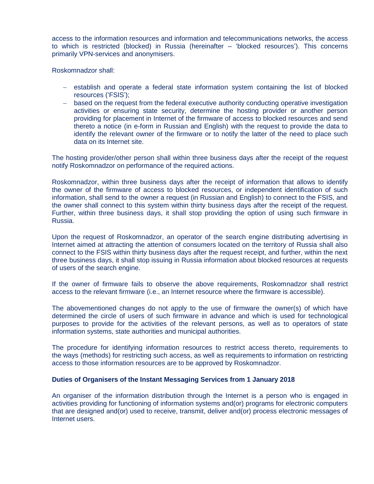access to the information resources and information and telecommunications networks, the access to which is restricted (blocked) in Russia (hereinafter – 'blocked resources'). This concerns primarily VPN-services and anonymisers.

Roskomnadzor shall:

- establish and operate a federal state information system containing the list of blocked resources ('FSIS');
- based on the request from the federal executive authority conducting operative investigation activities or ensuring state security, determine the hosting provider or another person providing for placement in Internet of the firmware of access to blocked resources and send thereto a notice (in e-form in Russian and English) with the request to provide the data to identify the relevant owner of the firmware or to notify the latter of the need to place such data on its Internet site.

The hosting provider/other person shall within three business days after the receipt of the request notify Roskomnadzor on performance of the required actions.

Roskomnadzor, within three business days after the receipt of information that allows to identify the owner of the firmware of access to blocked resources, or independent identification of such information, shall send to the owner a request (in Russian and English) to connect to the FSIS, and the owner shall connect to this system within thirty business days after the receipt of the request. Further, within three business days, it shall stop providing the option of using such firmware in Russia.

Upon the request of Roskomnadzor, an operator of the search engine distributing advertising in Internet aimed at attracting the attention of consumers located on the territory of Russia shall also connect to the FSIS within thirty business days after the request receipt, and further, within the next three business days, it shall stop issuing in Russia information about blocked resources at requests of users of the search engine.

If the owner of firmware fails to observe the above requirements, Roskomnadzor shall restrict access to the relevant firmware (i.e., an Internet resource where the firmware is accessible).

The abovementioned changes do not apply to the use of firmware the owner(s) of which have determined the circle of users of such firmware in advance and which is used for technological purposes to provide for the activities of the relevant persons, as well as to operators of state information systems, state authorities and municipal authorities.

The procedure for identifying information resources to restrict access thereto, requirements to the ways (methods) for restricting such access, as well as requirements to information on restricting access to those information resources are to be approved by Roskomnadzor.

#### **Duties of Organisers of the Instant Messaging Services from 1 January 2018**

An organiser of the information distribution through the Internet is a person who is engaged in activities providing for functioning of information systems and(or) programs for electronic computers that are designed and(or) used to receive, transmit, deliver and(or) process electronic messages of Internet users.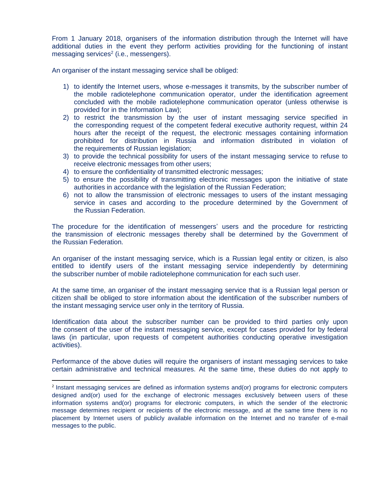From 1 January 2018, organisers of the information distribution through the Internet will have additional duties in the event they perform activities providing for the functioning of instant messaging services<sup>2</sup> (i.e., messengers).

An organiser of the instant messaging service shall be obliged:

- 1) to identify the Internet users, whose e-messages it transmits, by the subscriber number of the mobile radiotelephone communication operator, under the identification agreement concluded with the mobile radiotelephone communication operator (unless otherwise is provided for in the Information Law);
- 2) to restrict the transmission by the user of instant messaging service specified in the corresponding request of the competent federal executive authority request, within 24 hours after the receipt of the request, the electronic messages containing information prohibited for distribution in Russia and information distributed in violation of the requirements of Russian legislation;
- 3) to provide the technical possibility for users of the instant messaging service to refuse to receive electronic messages from other users;
- 4) to ensure the confidentiality of transmitted electronic messages;
- 5) to ensure the possibility of transmitting electronic messages upon the initiative of state authorities in accordance with the legislation of the Russian Federation;
- 6) not to allow the transmission of electronic messages to users of the instant messaging service in cases and according to the procedure determined by the Government of the Russian Federation.

The procedure for the identification of messengers' users and the procedure for restricting the transmission of electronic messages thereby shall be determined by the Government of the Russian Federation.

An organiser of the instant messaging service, which is a Russian legal entity or citizen, is also entitled to identify users of the instant messaging service independently by determining the subscriber number of mobile radiotelephone communication for each such user.

At the same time, an organiser of the instant messaging service that is a Russian legal person or citizen shall be obliged to store information about the identification of the subscriber numbers of the instant messaging service user only in the territory of Russia.

Identification data about the subscriber number can be provided to third parties only upon the consent of the user of the instant messaging service, except for cases provided for by federal laws (in particular, upon requests of competent authorities conducting operative investigation activities).

Performance of the above duties will require the organisers of instant messaging services to take certain administrative and technical measures. At the same time, these duties do not apply to

 $\overline{a}$ 

<sup>&</sup>lt;sup>2</sup> Instant messaging services are defined as information systems and(or) programs for electronic computers designed and(or) used for the exchange of electronic messages exclusively between users of these information systems and(or) programs for electronic computers, in which the sender of the electronic message determines recipient or recipients of the electronic message, and at the same time there is no placement by Internet users of publicly available information on the Internet and no transfer of e-mail messages to the public.